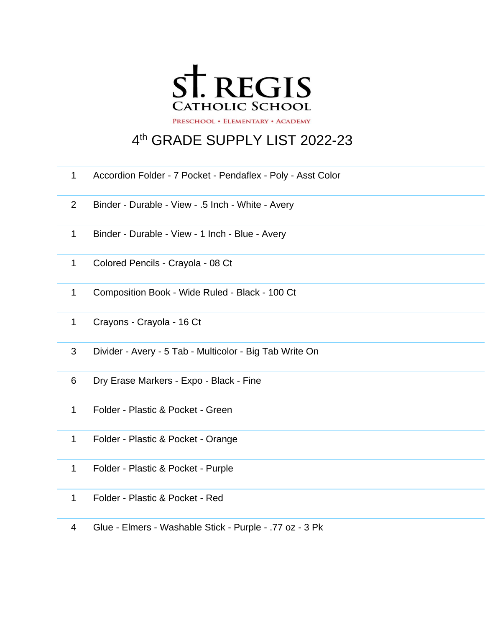

## th GRADE SUPPLY LIST 2022-23

- Accordion Folder 7 Pocket Pendaflex Poly Asst Color
- Binder Durable View .5 Inch White Avery
- Binder Durable View 1 Inch Blue Avery
- Colored Pencils Crayola 08 Ct
- Composition Book Wide Ruled Black 100 Ct
- Crayons Crayola 16 Ct
- Divider Avery 5 Tab Multicolor Big Tab Write On
- Dry Erase Markers Expo Black Fine
- Folder Plastic & Pocket Green
- Folder Plastic & Pocket Orange
- Folder Plastic & Pocket Purple
- Folder Plastic & Pocket Red
- Glue Elmers Washable Stick Purple .77 oz 3 Pk